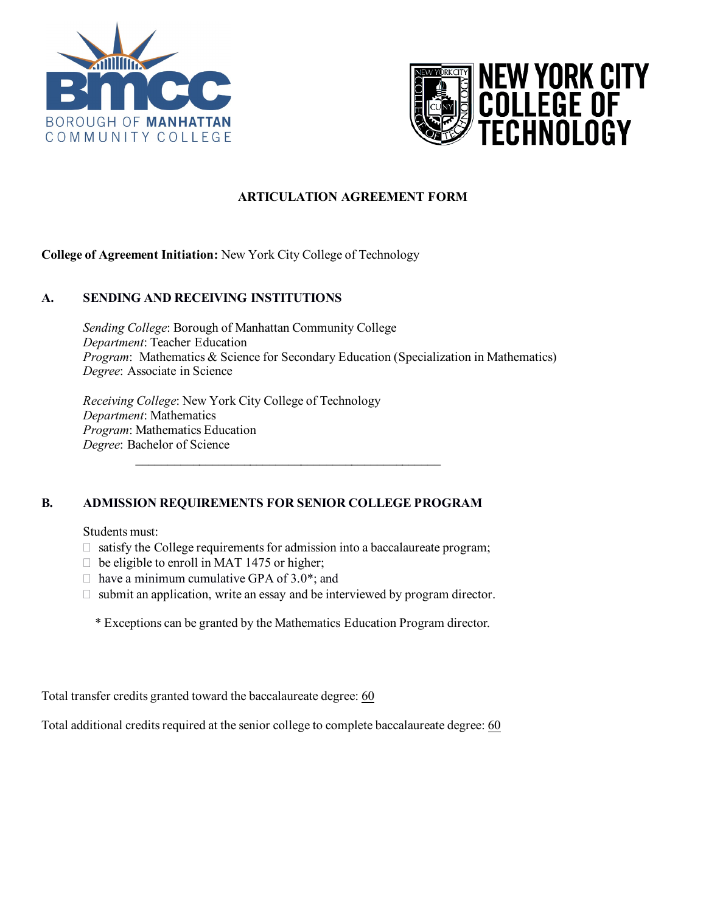



# **ARTICULATION AGREEMENT FORM**

# **College of Agreement Initiation:** New York City College of Technology

### **A. SENDING AND RECEIVING INSTITUTIONS**

*Sending College*: Borough of Manhattan Community College *Department*: Teacher Education *Program*: Mathematics & Science for Secondary Education (Specialization in Mathematics) *Degree*: Associate in Science

*Receiving College*: New York City College of Technology *Department*: Mathematics *Program*: Mathematics Education *Degree*: Bachelor of Science

# **B. ADMISSION REQUIREMENTS FOR SENIOR COLLEGE PROGRAM**

### Students must:

 $\Box$  satisfy the College requirements for admission into a baccalaureate program;

 $\mathcal{L}_\text{max}$  and  $\mathcal{L}_\text{max}$  and  $\mathcal{L}_\text{max}$  and  $\mathcal{L}_\text{max}$  and  $\mathcal{L}_\text{max}$ 

- $\Box$  be eligible to enroll in MAT 1475 or higher;
- $\Box$  have a minimum cumulative GPA of 3.0\*; and
- $\Box$  submit an application, write an essay and be interviewed by program director.
	- \* Exceptions can be granted by the Mathematics Education Program director.

Total transfer credits granted toward the baccalaureate degree: 60

Total additional credits required at the senior college to complete baccalaureate degree: 60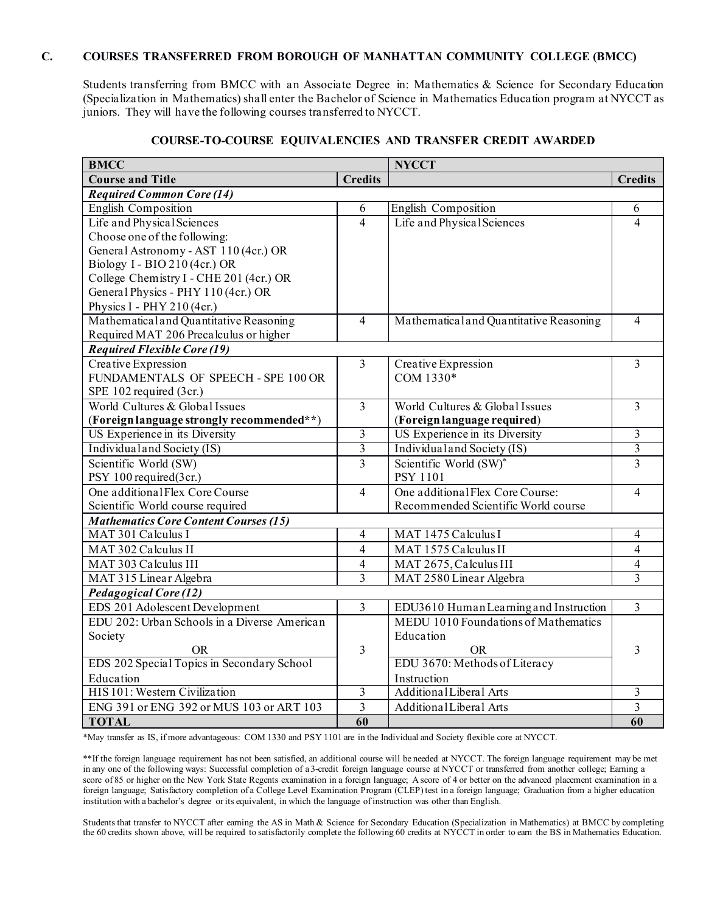### **C. COURSES TRANSFERRED FROM BOROUGH OF MANHATTAN COMMUNITY COLLEGE (BMCC)**

Students transferring from BMCC with an Associate Degree in: Mathematics & Science for Secondary Education (Specialization in Mathematics) shall enter the Bachelor of Science in Mathematics Education program at NYCCT as juniors. They will have the following courses transferred to NYCCT.

| <b>BMCC</b>                                  |                         | <b>NYCCT</b>                            |                          |  |
|----------------------------------------------|-------------------------|-----------------------------------------|--------------------------|--|
| <b>Course and Title</b>                      | <b>Credits</b>          |                                         | <b>Credits</b>           |  |
| <b>Required Common Core (14)</b>             |                         |                                         |                          |  |
| <b>English Composition</b>                   | 6                       | English Composition                     | 6                        |  |
| Life and Physical Sciences                   | $\overline{4}$          | Life and Physical Sciences              | $\overline{\mathcal{A}}$ |  |
| Choose one of the following:                 |                         |                                         |                          |  |
| General Astronomy - AST 110 (4cr.) OR        |                         |                                         |                          |  |
| Biology I - BIO 210 (4cr.) OR                |                         |                                         |                          |  |
| College Chemistry I - CHE 201 (4cr.) OR      |                         |                                         |                          |  |
| General Physics - PHY 110 (4cr.) OR          |                         |                                         |                          |  |
| Physics I - PHY 210 (4cr.)                   |                         |                                         |                          |  |
| Mathematical and Quantitative Reasoning      | $\overline{4}$          | Mathematical and Quantitative Reasoning | $\overline{4}$           |  |
| Required MAT 206 Precalculus or higher       |                         |                                         |                          |  |
| <b>Required Flexible Core (19)</b>           |                         |                                         |                          |  |
| Creative Expression                          | $\overline{3}$          | Creative Expression                     | $\overline{3}$           |  |
| FUNDAMENTALS OF SPEECH - SPE 100 OR          |                         | COM $1330*$                             |                          |  |
| SPE 102 required (3cr.)                      |                         |                                         |                          |  |
| World Cultures & Global Issues               | $\overline{3}$          | World Cultures & Global Issues          | 3                        |  |
| (Foreign language strongly recommended**)    |                         | (Foreign language required)             |                          |  |
| US Experience in its Diversity               | $\overline{\mathbf{3}}$ | US Experience in its Diversity          | $\overline{3}$           |  |
| Individual and Society (IS)                  | $\overline{\mathbf{3}}$ | Individual and Society (IS)             | $\overline{3}$           |  |
| Scientific World (SW)                        | $\overline{3}$          | Scientific World (SW)*                  | $\overline{3}$           |  |
| PSY 100 required(3cr.)                       |                         | <b>PSY 1101</b>                         |                          |  |
| One additional Flex Core Course              | $\overline{4}$          | One additional Flex Core Course:        | $\overline{4}$           |  |
| Scientific World course required             |                         | Recommended Scientific World course     |                          |  |
| <b>Mathematics Core Content Courses (15)</b> |                         |                                         |                          |  |
| MAT 301 Calculus I                           | $\overline{4}$          | MAT 1475 Calculus I                     | $\overline{4}$           |  |
| MAT 302 Calculus II                          | $\overline{4}$          | MAT 1575 Calculus II                    | $\overline{4}$           |  |
| MAT 303 Calculus III                         | $\overline{\mathbf{4}}$ | MAT 2675, Calculus III                  | $\overline{4}$           |  |
| MAT 315 Linear Algebra                       | $\overline{3}$          | MAT 2580 Linear Algebra                 | $\overline{3}$           |  |
| <b>Pedagogical Core (12)</b>                 |                         |                                         |                          |  |
| EDS 201 Adolescent Development               | $\overline{3}$          | EDU3610 Human Learning and Instruction  | 3                        |  |
| EDU 202: Urban Schools in a Diverse American |                         | MEDU 1010 Foundations of Mathematics    |                          |  |
| Society                                      |                         | Education                               |                          |  |
| OR.                                          | 3                       | OR.                                     | 3                        |  |
| EDS 202 Special Topics in Secondary School   |                         | EDU 3670: Methods of Literacy           |                          |  |
| Education                                    |                         | Instruction                             |                          |  |
| HIS 101: Western Civilization                | 3                       | Additional Liberal Arts                 | $\mathfrak{Z}$           |  |
| ENG 391 or ENG 392 or MUS 103 or ART 103     | $\overline{3}$          | Additional Liberal Arts                 | $\overline{3}$           |  |
| <b>TOTAL</b>                                 | 60                      |                                         | 60                       |  |

#### **COURSE-TO-COURSE EQUIVALENCIES AND TRANSFER CREDIT AWARDED**

\*May transfer as IS, if more advantageous: COM 1330 and PSY 1101 are in the Individual and Society flexible core at NYCCT.

\*\*If the foreign language requirement has not been satisfied, an additional course will be needed at NYCCT. The foreign language requirement may be met in any one of the following ways: Successful completion of a 3-credit foreign language course at NYCCT or transferred from another college; Earning a score of 85 or higher on the New York State Regents examination in a foreign language; A score of 4 or better on the advanced placement examination in a foreign language; Satisfactory completion of a College Level Examination Program (CLEP) test in a foreign language; Graduation from a higher education institution with a bachelor's degree or its equivalent, in which the language of instruction was other than English.

Students that transfer to NYCCT after earning the AS in Math & Science for Secondary Education (Specialization in Mathematics) at BMCC by completing the 60 credits shown above, will be required to satisfactorily complete the following 60 credits at NYCCT in order to earn the BS in Mathematics Education.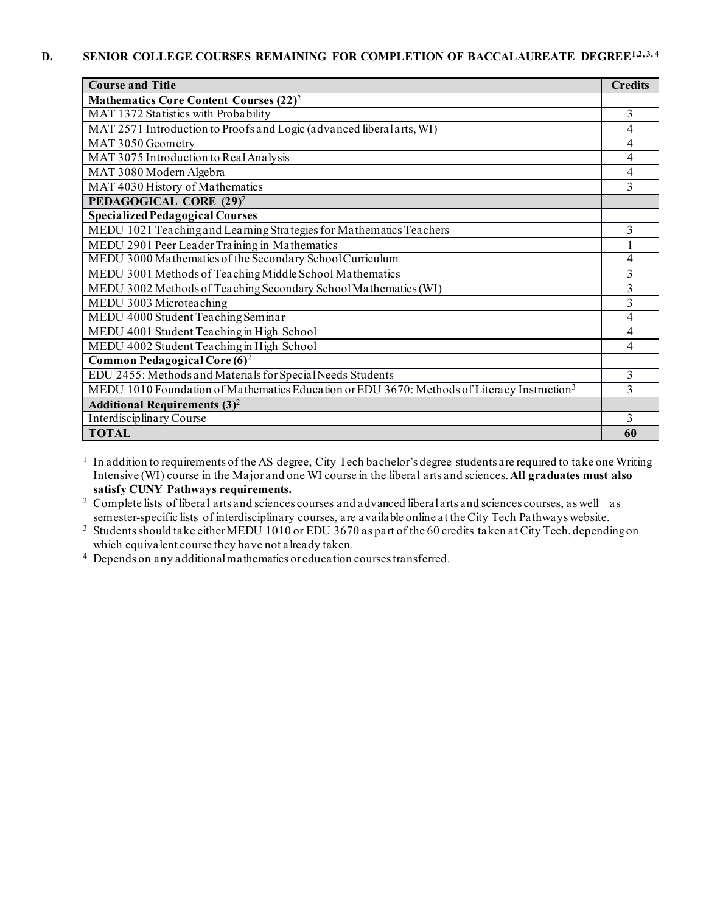### **D.** SENIOR COLLEGE COURSES REMAINING FOR COMPLETION OF BACCALAUREATE DEGREE<sup>1,2,3,4</sup>

| <b>Course and Title</b>                                                                                 |  |  |
|---------------------------------------------------------------------------------------------------------|--|--|
| Mathematics Core Content Courses (22) <sup>2</sup>                                                      |  |  |
| MAT 1372 Statistics with Probability                                                                    |  |  |
| MAT 2571 Introduction to Proofs and Logic (advanced liberal arts, WI)                                   |  |  |
| MAT 3050 Geometry                                                                                       |  |  |
| MAT 3075 Introduction to Real Analysis                                                                  |  |  |
| MAT 3080 Modern Algebra                                                                                 |  |  |
| MAT 4030 History of Mathematics                                                                         |  |  |
| PEDAGOGICAL CORE (29) <sup>2</sup>                                                                      |  |  |
| <b>Specialized Pedagogical Courses</b>                                                                  |  |  |
| MEDU 1021 Teaching and Learning Strategies for Mathematics Teachers                                     |  |  |
| MEDU 2901 Peer Leader Training in Mathematics                                                           |  |  |
| MEDU 3000 Mathematics of the Secondary School Curriculum                                                |  |  |
| MEDU 3001 Methods of Teaching Middle School Mathematics                                                 |  |  |
| MEDU 3002 Methods of Teaching Secondary School Mathematics (WI)                                         |  |  |
| MEDU 3003 Microteaching                                                                                 |  |  |
| MEDU 4000 Student Teaching Seminar                                                                      |  |  |
| MEDU 4001 Student Teaching in High School                                                               |  |  |
| MEDU 4002 Student Teaching in High School                                                               |  |  |
| <b>Common Pedagogical Core <math>(6)^2</math></b>                                                       |  |  |
| EDU 2455: Methods and Materials for Special Needs Students                                              |  |  |
| MEDU 1010 Foundation of Mathematics Education or EDU 3670: Methods of Literacy Instruction <sup>3</sup> |  |  |
| Additional Requirements $(3)^2$                                                                         |  |  |
| <b>Interdisciplinary Course</b>                                                                         |  |  |
| <b>TOTAL</b>                                                                                            |  |  |

<sup>1</sup> In addition to requirements of the AS degree, City Tech bachelor's degree students are required to take one Writing Intensive (WI) course in the Major and one WI course in the liberal arts and sciences. **All graduates must also satisfy CUNY Pathways requirements.**

<sup>2</sup> Complete lists of liberal arts and sciences courses and advanced liberal arts and sciences courses, as well as semester-specific lists of interdisciplinary courses, are available online at the City Tech Pathways website.

<sup>3</sup> Students should take either MEDU 1010 or EDU 3670 as part of the 60 credits taken at City Tech, depending on which equivalent course they have not already taken.

<sup>4</sup> Depends on any additional mathematics or education courses transferred.